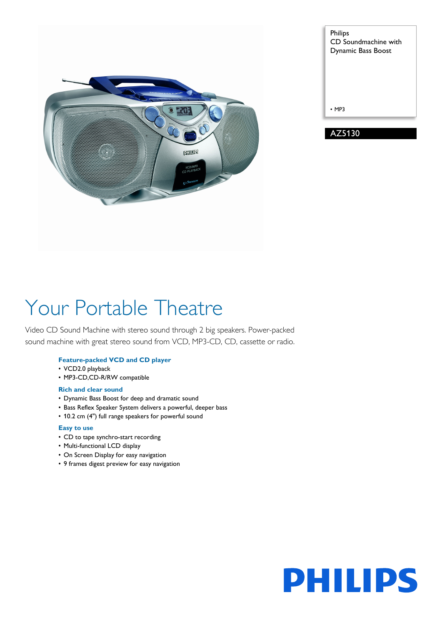

| <b>Philips</b><br>CD Soundmachine with<br>Dynamic Bass Boost |
|--------------------------------------------------------------|
| $·$ MP3                                                      |
| AZ5130                                                       |

# Your Portable Theatre

Video CD Sound Machine with stereo sound through 2 big speakers. Power-packed sound machine with great stereo sound from VCD, MP3-CD, CD, cassette or radio.

### **Feature-packed VCD and CD player**

- VCD2.0 playback
- MP3-CD,CD-R/RW compatible

#### **Rich and clear sound**

- Dynamic Bass Boost for deep and dramatic sound
- Bass Reflex Speaker System delivers a powerful, deeper bass
- 10.2 cm (4") full range speakers for powerful sound

### **Easy to use**

- CD to tape synchro-start recording
- Multi-functional LCD display
- On Screen Display for easy navigation
- 9 frames digest preview for easy navigation